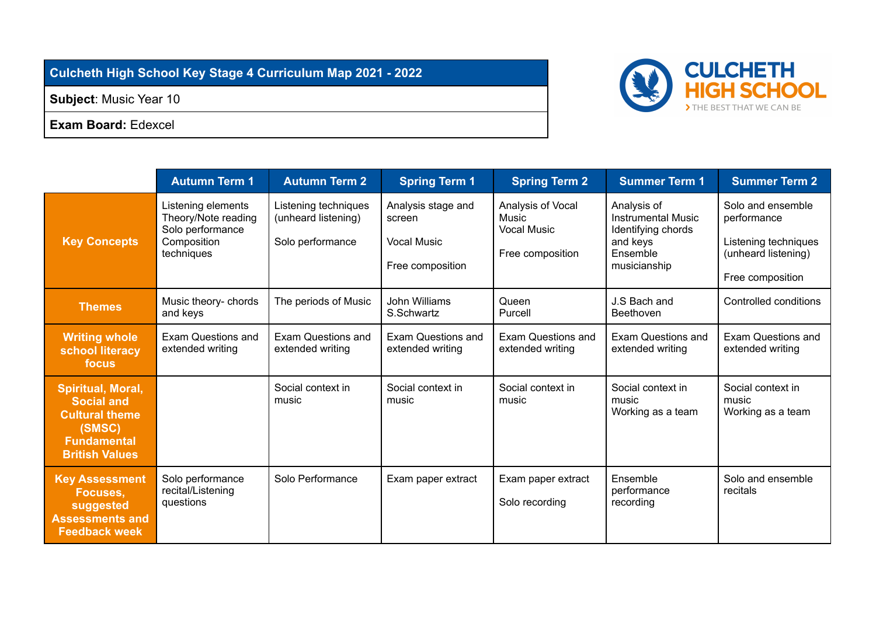## **Culcheth High School Key Stage 4 Curriculum Map 2021 - 2022**

**Subject**: Music Year 10

**Exam Board:** Edexcel



|                                                                                                                          | <b>Autumn Term 1</b>                                                                       | <b>Autumn Term 2</b>                                            | <b>Spring Term 1</b>                                                   | <b>Spring Term 2</b>                                                 | <b>Summer Term 1</b>                                                                                   | <b>Summer Term 2</b>                                                                                |
|--------------------------------------------------------------------------------------------------------------------------|--------------------------------------------------------------------------------------------|-----------------------------------------------------------------|------------------------------------------------------------------------|----------------------------------------------------------------------|--------------------------------------------------------------------------------------------------------|-----------------------------------------------------------------------------------------------------|
| <b>Key Concepts</b>                                                                                                      | Listening elements<br>Theory/Note reading<br>Solo performance<br>Composition<br>techniques | Listening techniques<br>(unheard listening)<br>Solo performance | Analysis stage and<br>screen<br><b>Vocal Music</b><br>Free composition | Analysis of Vocal<br>Music<br><b>Vocal Music</b><br>Free composition | Analysis of<br><b>Instrumental Music</b><br>Identifying chords<br>and keys<br>Ensemble<br>musicianship | Solo and ensemble<br>performance<br>Listening techniques<br>(unheard listening)<br>Free composition |
| <b>Themes</b>                                                                                                            | Music theory- chords<br>and keys                                                           | The periods of Music                                            | John Williams<br>S.Schwartz                                            | Queen<br>Purcell                                                     | J.S Bach and<br>Beethoven                                                                              | Controlled conditions                                                                               |
| <b>Writing whole</b><br>school literacy<br>focus                                                                         | Exam Questions and<br>extended writing                                                     | <b>Exam Questions and</b><br>extended writing                   | <b>Exam Questions and</b><br>extended writing                          | Exam Questions and<br>extended writing                               | <b>Exam Questions and</b><br>extended writing                                                          | <b>Exam Questions and</b><br>extended writing                                                       |
| Spiritual, Moral,<br><b>Social and</b><br><b>Cultural theme</b><br>(SMSC)<br><b>Fundamental</b><br><b>British Values</b> |                                                                                            | Social context in<br>music                                      | Social context in<br>music                                             | Social context in<br>music                                           | Social context in<br>music<br>Working as a team                                                        | Social context in<br>music<br>Working as a team                                                     |
| <b>Key Assessment</b><br>Focuses,<br>suggested<br><b>Assessments and</b><br><b>Feedback week</b>                         | Solo performance<br>recital/Listening<br>questions                                         | Solo Performance                                                | Exam paper extract                                                     | Exam paper extract<br>Solo recording                                 | Ensemble<br>performance<br>recording                                                                   | Solo and ensemble<br>recitals                                                                       |